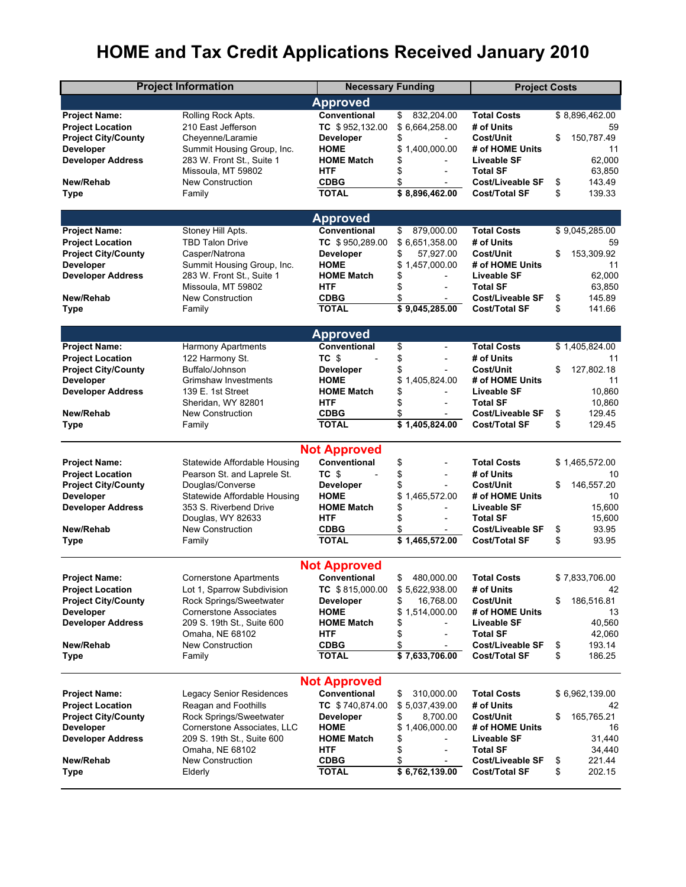## **HOME and Tax Credit Applications Received January 2010**

| <b>Project Information</b>                     |                                             | <b>Necessary Funding</b>        |                                                  | <b>Project Costs</b>                       |                        |  |  |  |
|------------------------------------------------|---------------------------------------------|---------------------------------|--------------------------------------------------|--------------------------------------------|------------------------|--|--|--|
| Approved                                       |                                             |                                 |                                                  |                                            |                        |  |  |  |
| <b>Project Name:</b>                           | Rolling Rock Apts.                          | Conventional                    | \$<br>832,204.00                                 | <b>Total Costs</b>                         | \$8,896,462.00         |  |  |  |
| <b>Project Location</b>                        | 210 East Jefferson                          | TC \$952,132.00                 | \$6,664,258.00                                   | # of Units                                 | 59                     |  |  |  |
| <b>Project City/County</b>                     | Cheyenne/Laramie                            | Developer                       | \$                                               | Cost/Unit                                  | 150,787.49<br>\$       |  |  |  |
| Developer                                      | Summit Housing Group, Inc.                  | <b>HOME</b>                     | 1,400,000.00<br>\$                               | # of HOME Units                            | 11                     |  |  |  |
| <b>Developer Address</b>                       | 283 W. Front St., Suite 1                   | <b>HOME Match</b>               | \$                                               | Liveable SF                                | 62,000                 |  |  |  |
|                                                | Missoula, MT 59802                          | <b>HTF</b>                      | \$                                               | <b>Total SF</b>                            | 63,850                 |  |  |  |
| New/Rehab                                      | <b>New Construction</b>                     | <b>CDBG</b>                     | \$<br>$\overline{\phantom{a}}$                   | <b>Cost/Liveable SF</b>                    | \$<br>143.49           |  |  |  |
| <b>Type</b>                                    | Family                                      | <b>TOTAL</b>                    | $\overline{$}8,896,462.00$                       | <b>Cost/Total SF</b>                       | \$<br>139.33           |  |  |  |
|                                                |                                             | <b>Approved</b>                 |                                                  |                                            |                        |  |  |  |
| <b>Project Name:</b>                           | Stoney Hill Apts.                           | Conventional                    | \$<br>879,000.00                                 | <b>Total Costs</b>                         | \$9,045,285.00         |  |  |  |
| <b>Project Location</b>                        | <b>TBD Talon Drive</b>                      | TC \$950,289.00                 | \$6,651,358.00                                   | # of Units                                 | 59                     |  |  |  |
| <b>Project City/County</b>                     | Casper/Natrona                              | Developer                       | 57,927.00<br>\$                                  | Cost/Unit                                  | \$<br>153,309.92       |  |  |  |
| Developer                                      | Summit Housing Group, Inc.                  | <b>HOME</b>                     | 1,457,000.00<br>\$                               | # of HOME Units                            | 11                     |  |  |  |
| <b>Developer Address</b>                       | 283 W. Front St., Suite 1                   | <b>HOME Match</b>               | \$                                               | Liveable SF                                | 62,000                 |  |  |  |
|                                                | Missoula, MT 59802                          | <b>HTF</b>                      | \$<br>$\overline{\phantom{a}}$                   | <b>Total SF</b>                            | 63,850                 |  |  |  |
| New/Rehab                                      | <b>New Construction</b>                     | <b>CDBG</b>                     | \$                                               | <b>Cost/Liveable SF</b>                    | \$<br>145.89           |  |  |  |
| Type                                           | Family                                      | <b>TOTAL</b>                    | \$9,045,285.00                                   | <b>Cost/Total SF</b>                       | \$<br>141.66           |  |  |  |
|                                                |                                             |                                 |                                                  |                                            |                        |  |  |  |
| <b>Project Name:</b>                           | Harmony Apartments                          | <b>Approved</b><br>Conventional | \$<br>$\overline{\phantom{a}}$                   | <b>Total Costs</b>                         | \$1,405,824.00         |  |  |  |
|                                                |                                             | TC \$                           | \$                                               |                                            |                        |  |  |  |
| <b>Project Location</b>                        | 122 Harmony St.<br>Buffalo/Johnson          |                                 | $\overline{\phantom{a}}$<br>\$<br>$\overline{a}$ | # of Units<br>Cost/Unit                    | 11<br>127,802.18<br>\$ |  |  |  |
| <b>Project City/County</b><br><b>Developer</b> | Grimshaw Investments                        | Developer<br><b>HOME</b>        | 1,405,824.00                                     | # of HOME Units                            | 11                     |  |  |  |
| <b>Developer Address</b>                       | 139 E. 1st Street                           | <b>HOME Match</b>               | \$<br>\$                                         | Liveable SF                                | 10,860                 |  |  |  |
|                                                | Sheridan, WY 82801                          | <b>HTF</b>                      | \$<br>$\overline{\phantom{a}}$                   | <b>Total SF</b>                            | 10,860                 |  |  |  |
| New/Rehab                                      | <b>New Construction</b>                     | <b>CDBG</b>                     | \$                                               | Cost/Liveable SF                           | \$<br>129.45           |  |  |  |
| Type                                           | Family                                      | <b>TOTAL</b>                    | \$1,405,824.00                                   | <b>Cost/Total SF</b>                       | 129.45<br>\$           |  |  |  |
|                                                |                                             |                                 |                                                  |                                            |                        |  |  |  |
|                                                |                                             | <b>Not Approved</b>             |                                                  |                                            |                        |  |  |  |
| <b>Project Name:</b>                           | Statewide Affordable Housing                | Conventional                    | \$                                               | <b>Total Costs</b>                         | \$1,465,572.00         |  |  |  |
| <b>Project Location</b>                        | Pearson St. and Laprele St.                 | TC \$                           | \$                                               | # of Units                                 | 10                     |  |  |  |
| <b>Project City/County</b>                     | Douglas/Converse                            | Developer                       | \$<br>$\overline{a}$                             | Cost/Unit                                  | \$<br>146,557.20       |  |  |  |
| Developer                                      | Statewide Affordable Housing                | HOME                            | \$<br>1,465,572.00                               | # of HOME Units                            | 10                     |  |  |  |
| <b>Developer Address</b>                       | 353 S. Riverbend Drive<br>Douglas, WY 82633 | <b>HOME Match</b>               | \$<br>$\overline{a}$                             | Liveable SF                                | 15,600                 |  |  |  |
| New/Rehab                                      | <b>New Construction</b>                     | <b>HTF</b><br>CDBG              | \$<br>\$                                         | <b>Total SF</b><br><b>Cost/Liveable SF</b> | 15,600<br>\$<br>93.95  |  |  |  |
| Type                                           | Family                                      | <b>TOTAL</b>                    | \$1,465,572.00                                   | <b>Cost/Total SF</b>                       | \$<br>93.95            |  |  |  |
|                                                |                                             |                                 |                                                  |                                            |                        |  |  |  |
| <b>Not Approved</b>                            |                                             |                                 |                                                  |                                            |                        |  |  |  |
| <b>Project Name:</b>                           | <b>Cornerstone Apartments</b>               | Conventional                    | \$<br>480.000.00                                 | <b>Total Costs</b>                         | \$7,833,706.00         |  |  |  |
| <b>Project Location</b>                        | Lot 1, Sparrow Subdivision                  | TC \$815,000.00                 | \$5,622,938.00                                   | # of Units                                 | 42                     |  |  |  |
| <b>Project City/County</b>                     | Rock Springs/Sweetwater                     | <b>Developer</b>                | \$<br>16,768.00                                  | Cost/Unit                                  | 186,516.81<br>\$       |  |  |  |
| <b>Developer</b>                               | <b>Cornerstone Associates</b>               | <b>HOME</b>                     | 1,514,000.00<br>\$                               | # of HOME Units                            | 13                     |  |  |  |
| <b>Developer Address</b>                       | 209 S. 19th St., Suite 600                  | <b>HOME Match</b>               | \$                                               | Liveable SF                                | 40,560                 |  |  |  |
|                                                | Omaha, NE 68102                             | HTF                             | \$                                               | <b>Total SF</b>                            | 42,060                 |  |  |  |
| New/Rehab                                      | New Construction                            | <b>CDBG</b>                     | \$<br>$\overline{a}$                             | <b>Cost/Liveable SF</b>                    | \$<br>193.14           |  |  |  |
| Type                                           | Family                                      | <b>TOTAL</b>                    | \$7,633,706.00                                   | <b>Cost/Total SF</b>                       | 186.25<br>\$           |  |  |  |
|                                                |                                             | <b>Not Approved</b>             |                                                  |                                            |                        |  |  |  |
| <b>Project Name:</b>                           | Legacy Senior Residences                    | Conventional                    | 310,000.00<br>\$                                 | <b>Total Costs</b>                         | \$6,962,139.00         |  |  |  |
| <b>Project Location</b>                        | Reagan and Foothills                        | TC \$740,874.00                 | \$5,037,439.00                                   | # of Units                                 | 42                     |  |  |  |
| <b>Project City/County</b>                     | Rock Springs/Sweetwater                     | <b>Developer</b>                | 8,700.00<br>\$                                   | Cost/Unit                                  | \$<br>165,765.21       |  |  |  |
| <b>Developer</b>                               | Cornerstone Associates, LLC                 | <b>HOME</b>                     | \$<br>1,406,000.00                               | # of HOME Units                            | 16                     |  |  |  |
| <b>Developer Address</b>                       | 209 S. 19th St., Suite 600                  | <b>HOME Match</b>               | \$                                               | Liveable SF                                | 31,440                 |  |  |  |
|                                                | Omaha, NE 68102                             | HTF                             | \$                                               | <b>Total SF</b>                            | 34,440                 |  |  |  |
| New/Rehab                                      | New Construction                            | <b>CDBG</b>                     | \$                                               | <b>Cost/Liveable SF</b>                    | \$<br>221.44           |  |  |  |
| <b>Type</b>                                    | Elderly                                     | <b>TOTAL</b>                    | $\overline{$6,762,139.00}$                       | <b>Cost/Total SF</b>                       | \$<br>202.15           |  |  |  |
|                                                |                                             |                                 |                                                  |                                            |                        |  |  |  |